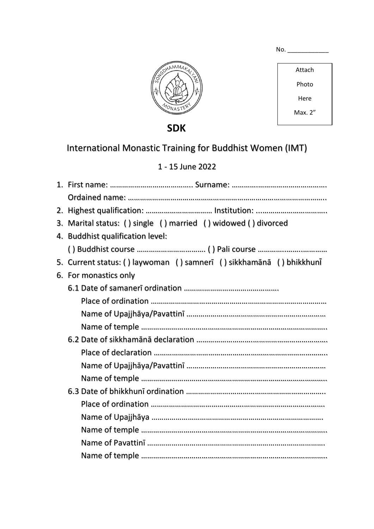| MMAR <sub>T</sub><br>↶<br>ও<br><b>MONASTER</b> |  |
|------------------------------------------------|--|
|                                                |  |

| в.<br>ົາ.<br>NО<br> |  |  |  |
|---------------------|--|--|--|
|                     |  |  |  |

Attach Photo Here

Max. 2"

 **SDK**

## International Monastic Training for Buddhist Women (IMT)

### 1 - 15 June 2022

| 2. |                                                                   |  |  |  |  |  |
|----|-------------------------------------------------------------------|--|--|--|--|--|
|    | 3. Marital status: () single () married () widowed () divorced    |  |  |  |  |  |
|    | 4. Buddhist qualification level:                                  |  |  |  |  |  |
|    |                                                                   |  |  |  |  |  |
| 5. | Current status: () laywoman () samnerī () sikkhamānā () bhikkhunī |  |  |  |  |  |
|    | 6. For monastics only                                             |  |  |  |  |  |
|    |                                                                   |  |  |  |  |  |
|    |                                                                   |  |  |  |  |  |
|    |                                                                   |  |  |  |  |  |
|    |                                                                   |  |  |  |  |  |
|    |                                                                   |  |  |  |  |  |
|    |                                                                   |  |  |  |  |  |
|    |                                                                   |  |  |  |  |  |
|    |                                                                   |  |  |  |  |  |
|    |                                                                   |  |  |  |  |  |
|    |                                                                   |  |  |  |  |  |
|    |                                                                   |  |  |  |  |  |
|    |                                                                   |  |  |  |  |  |
|    |                                                                   |  |  |  |  |  |
|    |                                                                   |  |  |  |  |  |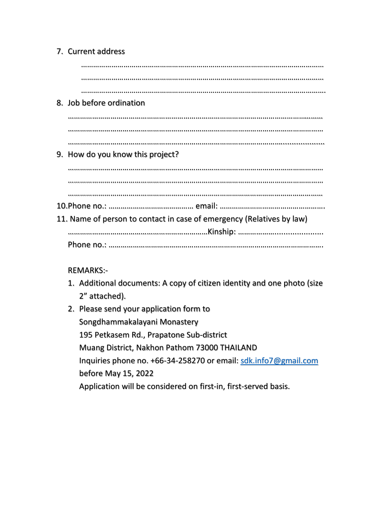# 7. Current address ………………………………………………………………………………………………………… ………………………………………………………………………………………………………… …………………………………………………………………………………………………………. 8. Job before ordination ……………………………………………………………………………………………………………… …………………………………………………………………………………………….................... 9. How do you know this project? ……………………………………………………………………………………………………………… ……………………………………………………………………………………………………………… ……………………………………………………………………………………………………………… 10.Phone no.: …………………………………… email: ……………………………………………. 11. Name of person to contact in case of emergency (Relatives by law) ……………………………………………………………Kinship: ………………...................... Phone no.: …………………………………………………………………………………………….

### REMARKS:-

- 1. Additional documents: A copy of citizen identity and one photo (size 2" attached).
- 2. Please send your application form to Songdhammakalayani Monastery 195 Petkasem Rd., Prapatone Sub-district Muang District, Nakhon Pathom 73000 THAILAND Inquiries phone no. +66-34-258270 or email: [sdk.info7@gmail.com](mailto:sdk.info7@gmail.com) before May 15, 2022 Application will be considered on first-in, first-served basis.